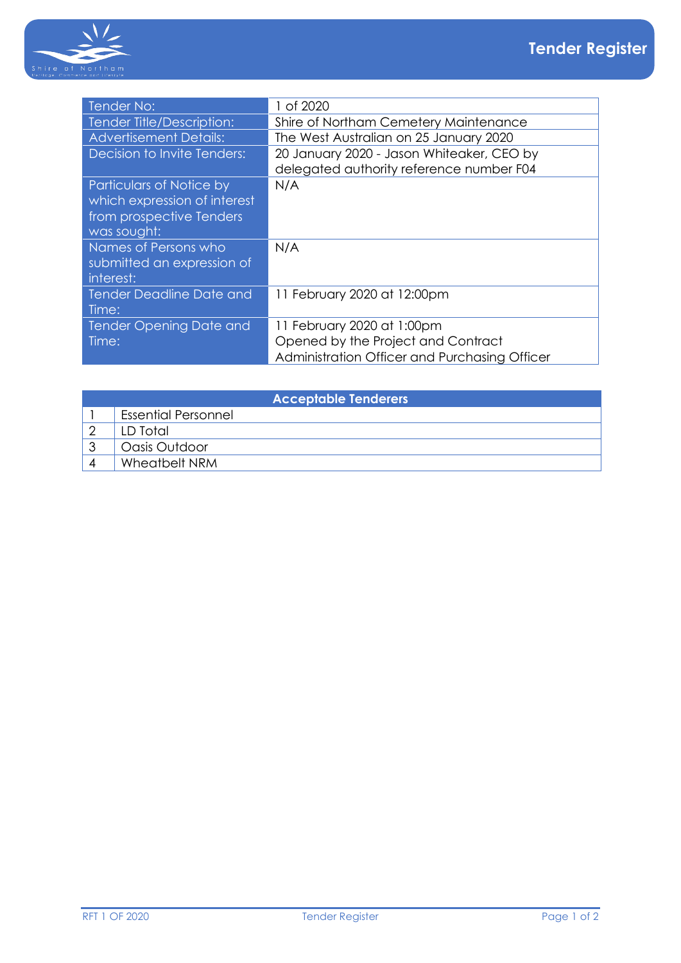

| Tender No:                      | 1 of 2020                                     |
|---------------------------------|-----------------------------------------------|
| Tender Title/Description:       | Shire of Northam Cemetery Maintenance         |
| <b>Advertisement Details:</b>   | The West Australian on 25 January 2020        |
| Decision to Invite Tenders:     | 20 January 2020 - Jason Whiteaker, CEO by     |
|                                 | delegated authority reference number F04      |
| Particulars of Notice by        | N/A                                           |
| which expression of interest    |                                               |
| from prospective Tenders        |                                               |
| was sought:                     |                                               |
| Names of Persons who            | N/A                                           |
| submitted an expression of      |                                               |
| interest:                       |                                               |
| <b>Tender Deadline Date and</b> | 11 February 2020 at 12:00pm                   |
| Time:                           |                                               |
| <b>Tender Opening Date and</b>  | 11 February 2020 at 1:00pm                    |
| Time:                           | Opened by the Project and Contract            |
|                                 | Administration Officer and Purchasing Officer |

| <b>Acceptable Tenderers</b> |                            |  |  |
|-----------------------------|----------------------------|--|--|
|                             | <b>Essential Personnel</b> |  |  |
|                             | LD Total                   |  |  |
|                             | Oasis Outdoor              |  |  |
|                             | Wheatbelt NRM              |  |  |